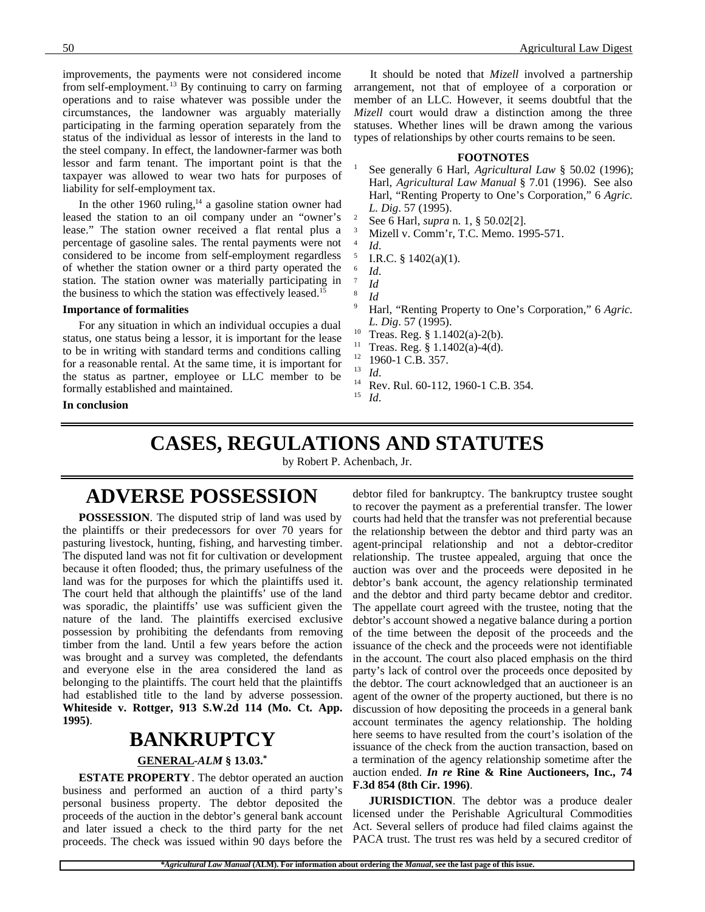improvements, the payments were not considered income from self-employment.<sup>13</sup> By continuing to carry on farming operations and to raise whatever was possible under the circumstances, the landowner was arguably materially participating in the farming operation separately from the status of the individual as lessor of interests in the land to the steel company. In effect, the landowner-farmer was both lessor and farm tenant. The important point is that the taxpayer was allowed to wear two hats for purposes of liability for self-employment tax.

In the other 1960 ruling, $14$  a gasoline station owner had leased the station to an oil company under an "owner's lease." The station owner received a flat rental plus a percentage of gasoline sales. The rental payments were not considered to be income from self-employment regardless of whether the station owner or a third party operated the station. The station owner was materially participating in the business to which the station was effectively leased.<sup>15</sup>

#### **Importance of formalities**

For any situation in which an individual occupies a dual status, one status being a lessor, it is important for the lease to be in writing with standard terms and conditions calling for a reasonable rental. At the same time, it is important for the status as partner, employee or LLC member to be formally established and maintained.

**In conclusion**

It should be noted that *Mizell* involved a partnership arrangement, not that of employee of a corporation or member of an LLC. However, it seems doubtful that the *Mizell* court would draw a distinction among the three statuses. Whether lines will be drawn among the various types of relationships by other courts remains to be seen.

#### **FOOTNOTES**

- See generally 6 Harl, *Agricultural Law* § 50.02 (1996); Harl, *Agricultural Law Manual* § 7.01 (1996). See also Harl, "Renting Property to One's Corporation," 6 *Agric. L. Dig*. 57 (1995).
- <sup>2</sup> See 6 Harl, *supra* n. 1, § 50.02[2].
- <sup>3</sup> Mizell v. Comm'r, T.C. Memo. 1995-571. 4
	- *Id*.
	- I.R.C. § 1402(a)(1).
- 6 *Id*.
- 7 *Id*

5

- 8 *Id*
- <sup>9</sup> Harl, "Renting Property to One's Corporation," 6 *Agric. L. Dig*. 57 (1995).
- <sup>10</sup> Treas. Reg. § 1.1402(a)-2(b).
- <sup>11</sup> Treas. Reg. § 1.1402(a)-4(d).<br><sup>12</sup> 1060 1 C P 257
- $^{12}$  1960-1 C.B. 357.
- $\frac{13}{14}$  *Id.*
- <sup>14</sup> Rev. Rul. 60-112, 1960-1 C.B. 354.
- *Id.*

# **CASES, REGULATIONS AND STATUTES**

by Robert P. Achenbach, Jr.

### **ADVERSE POSSESSION**

**POSSESSION**. The disputed strip of land was used by the plaintiffs or their predecessors for over 70 years for pasturing livestock, hunting, fishing, and harvesting timber. The disputed land was not fit for cultivation or development because it often flooded; thus, the primary usefulness of the land was for the purposes for which the plaintiffs used it. The court held that although the plaintiffs' use of the land was sporadic, the plaintiffs' use was sufficient given the nature of the land. The plaintiffs exercised exclusive possession by prohibiting the defendants from removing timber from the land. Until a few years before the action was brought and a survey was completed, the defendants and everyone else in the area considered the land as belonging to the plaintiffs. The court held that the plaintiffs had established title to the land by adverse possession. **Whiteside v. Rottger, 913 S.W.2d 114 (Mo. Ct. App. 1995)**.

## **BANKRUPTCY**

#### **GENERAL -***ALM* **§ 13.03.\***

**ESTATE PROPERTY**. The debtor operated an auction business and performed an auction of a third party's personal business property. The debtor deposited the proceeds of the auction in the debtor's general bank account and later issued a check to the third party for the net proceeds. The check was issued within 90 days before the

debtor filed for bankruptcy. The bankruptcy trustee sought to recover the payment as a preferential transfer. The lower courts had held that the transfer was not preferential because the relationship between the debtor and third party was an agent-principal relationship and not a debtor-creditor relationship. The trustee appealed, arguing that once the auction was over and the proceeds were deposited in he debtor's bank account, the agency relationship terminated and the debtor and third party became debtor and creditor. The appellate court agreed with the trustee, noting that the debtor's account showed a negative balance during a portion of the time between the deposit of the proceeds and the issuance of the check and the proceeds were not identifiable in the account. The court also placed emphasis on the third party's lack of control over the proceeds once deposited by the debtor. The court acknowledged that an auctioneer is an agent of the owner of the property auctioned, but there is no discussion of how depositing the proceeds in a general bank account terminates the agency relationship. The holding here seems to have resulted from the court's isolation of the issuance of the check from the auction transaction, based on a termination of the agency relationship sometime after the auction ended. *In re* **Rine & Rine Auctioneers, Inc., 74 F.3d 854 (8th Cir. 1996)**.

**JURISDICTION**. The debtor was a produce dealer licensed under the Perishable Agricultural Commodities Act. Several sellers of produce had filed claims against the PACA trust. The trust res was held by a secured creditor of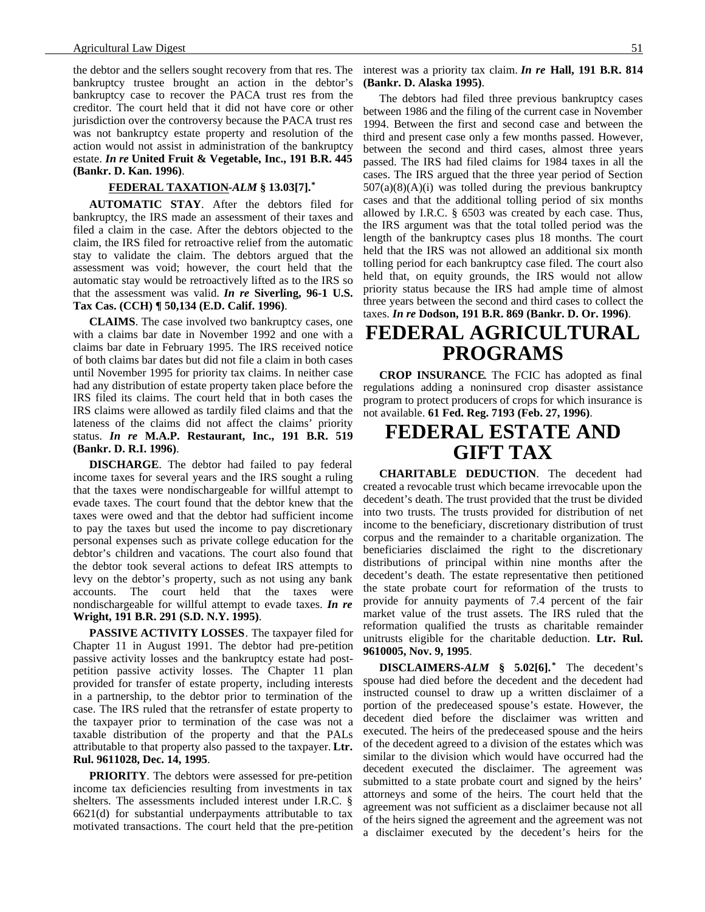the debtor and the sellers sought recovery from that res. The bankruptcy trustee brought an action in the debtor's bankruptcy case to recover the PACA trust res from the creditor. The court held that it did not have core or other jurisdiction over the controversy because the PACA trust res was not bankruptcy estate property and resolution of the action would not assist in administration of the bankruptcy estate. *In re* **United Fruit & Vegetable, Inc., 191 B.R. 445 (Bankr. D. Kan. 1996)**.

#### **FEDERAL TAXATION -***ALM* **§ 13.03[7].\***

**AUTOMATIC STAY**. After the debtors filed for bankruptcy, the IRS made an assessment of their taxes and filed a claim in the case. After the debtors objected to the claim, the IRS filed for retroactive relief from the automatic stay to validate the claim. The debtors argued that the assessment was void; however, the court held that the automatic stay would be retroactively lifted as to the IRS so that the assessment was valid. *In re* **Siverling, 96-1 U.S. Tax Cas. (CCH) ¶ 50,134 (E.D. Calif. 1996)**.

**CLAIMS**. The case involved two bankruptcy cases, one with a claims bar date in November 1992 and one with a claims bar date in February 1995. The IRS received notice of both claims bar dates but did not file a claim in both cases until November 1995 for priority tax claims. In neither case had any distribution of estate property taken place before the IRS filed its claims. The court held that in both cases the IRS claims were allowed as tardily filed claims and that the lateness of the claims did not affect the claims' priority status. *In re* **M.A.P. Restaurant, Inc., 191 B.R. 519 (Bankr. D. R.I. 1996)**.

**DISCHARGE**. The debtor had failed to pay federal income taxes for several years and the IRS sought a ruling that the taxes were nondischargeable for willful attempt to evade taxes. The court found that the debtor knew that the taxes were owed and that the debtor had sufficient income to pay the taxes but used the income to pay discretionary personal expenses such as private college education for the debtor's children and vacations. The court also found that the debtor took several actions to defeat IRS attempts to levy on the debtor's property, such as not using any bank accounts. The court held that the taxes were nondischargeable for willful attempt to evade taxes. *In re* **Wright, 191 B.R. 291 (S.D. N.Y. 1995)**.

**PASSIVE ACTIVITY LOSSES**. The taxpayer filed for Chapter 11 in August 1991. The debtor had pre-petition passive activity losses and the bankruptcy estate had postpetition passive activity losses. The Chapter 11 plan provided for transfer of estate property, including interests in a partnership, to the debtor prior to termination of the case. The IRS ruled that the retransfer of estate property to the taxpayer prior to termination of the case was not a taxable distribution of the property and that the PALs attributable to that property also passed to the taxpayer. **Ltr. Rul. 9611028, Dec. 14, 1995**.

**PRIORITY**. The debtors were assessed for pre-petition income tax deficiencies resulting from investments in tax shelters. The assessments included interest under I.R.C. § 6621(d) for substantial underpayments attributable to tax motivated transactions. The court held that the pre-petition interest was a priority tax claim. *In re* **Hall, 191 B.R. 814 (Bankr. D. Alaska 1995)**.

The debtors had filed three previous bankruptcy cases between 1986 and the filing of the current case in November 1994. Between the first and second case and between the third and present case only a few months passed. However, between the second and third cases, almost three years passed. The IRS had filed claims for 1984 taxes in all the cases. The IRS argued that the three year period of Section  $507(a)(8)(A)(i)$  was tolled during the previous bankruptcy cases and that the additional tolling period of six months allowed by I.R.C. § 6503 was created by each case. Thus, the IRS argument was that the total tolled period was the length of the bankruptcy cases plus 18 months. The court held that the IRS was not allowed an additional six month tolling period for each bankruptcy case filed. The court also held that, on equity grounds, the IRS would not allow priority status because the IRS had ample time of almost three years between the second and third cases to collect the taxes. *In re* **Dodson, 191 B.R. 869 (Bankr. D. Or. 1996)**.

## **FEDERAL AGRICULTURAL PROGRAMS**

**CROP INSURANCE**. The FCIC has adopted as final regulations adding a noninsured crop disaster assistance program to protect producers of crops for which insurance is not available. **61 Fed. Reg. 7193 (Feb. 27, 1996)**.

# **FEDERAL ESTATE AND GIFT TAX**

**CHARITABLE DEDUCTION**. The decedent had created a revocable trust which became irrevocable upon the decedent's death. The trust provided that the trust be divided into two trusts. The trusts provided for distribution of net income to the beneficiary, discretionary distribution of trust corpus and the remainder to a charitable organization. The beneficiaries disclaimed the right to the discretionary distributions of principal within nine months after the decedent's death. The estate representative then petitioned the state probate court for reformation of the trusts to provide for annuity payments of 7.4 percent of the fair market value of the trust assets. The IRS ruled that the reformation qualified the trusts as charitable remainder unitrusts eligible for the charitable deduction. **Ltr. Rul. 9610005, Nov. 9, 1995**.

**DISCLAIMERS-***ALM* **§ 5.02[6]. \*** The decedent's spouse had died before the decedent and the decedent had instructed counsel to draw up a written disclaimer of a portion of the predeceased spouse's estate. However, the decedent died before the disclaimer was written and executed. The heirs of the predeceased spouse and the heirs of the decedent agreed to a division of the estates which was similar to the division which would have occurred had the decedent executed the disclaimer. The agreement was submitted to a state probate court and signed by the heirs' attorneys and some of the heirs. The court held that the agreement was not sufficient as a disclaimer because not all of the heirs signed the agreement and the agreement was not a disclaimer executed by the decedent's heirs for the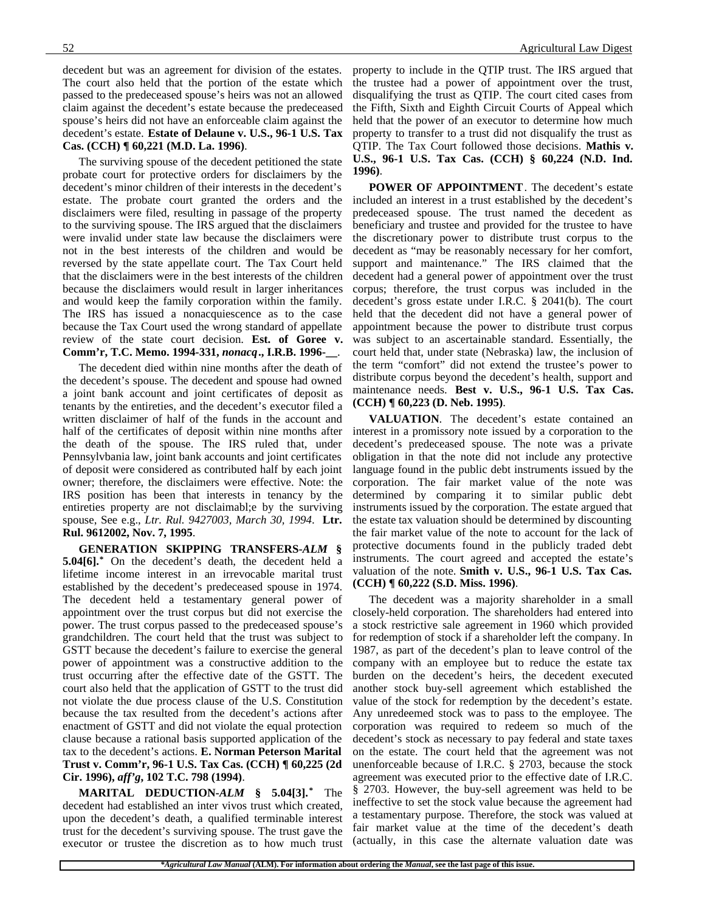decedent but was an agreement for division of the estates. The court also held that the portion of the estate which passed to the predeceased spouse's heirs was not an allowed claim against the decedent's estate because the predeceased spouse's heirs did not have an enforceable claim against the decedent's estate. **Estate of Delaune v. U.S., 96-1 U.S. Tax Cas. (CCH) ¶ 60,221 (M.D. La. 1996)**.

The surviving spouse of the decedent petitioned the state probate court for protective orders for disclaimers by the decedent's minor children of their interests in the decedent's estate. The probate court granted the orders and the disclaimers were filed, resulting in passage of the property to the surviving spouse. The IRS argued that the disclaimers were invalid under state law because the disclaimers were not in the best interests of the children and would be reversed by the state appellate court. The Tax Court held that the disclaimers were in the best interests of the children because the disclaimers would result in larger inheritances and would keep the family corporation within the family. The IRS has issued a nonacquiescence as to the case because the Tax Court used the wrong standard of appellate review of the state court decision. **Est. of Goree v. Comm'r, T.C. Memo. 1994-331,** *nonacq***., I.R.B. 1996-\_\_**.

The decedent died within nine months after the death of the decedent's spouse. The decedent and spouse had owned a joint bank account and joint certificates of deposit as tenants by the entireties, and the decedent's executor filed a written disclaimer of half of the funds in the account and half of the certificates of deposit within nine months after the death of the spouse. The IRS ruled that, under Pennsylvbania law, joint bank accounts and joint certificates of deposit were considered as contributed half by each joint owner; therefore, the disclaimers were effective. Note: the IRS position has been that interests in tenancy by the entireties property are not disclaimabl;e by the surviving spouse, See e.g., *Ltr. Rul. 9427003, March 30, 1994*. **Ltr. Rul. 9612002, Nov. 7, 1995**.

**GENERATION SKIPPING TRANSFERS-***ALM* **§ 5.04[6].\*** On the decedent's death, the decedent held a lifetime income interest in an irrevocable marital trust established by the decedent's predeceased spouse in 1974. The decedent held a testamentary general power of appointment over the trust corpus but did not exercise the power. The trust corpus passed to the predeceased spouse's grandchildren. The court held that the trust was subject to GSTT because the decedent's failure to exercise the general power of appointment was a constructive addition to the trust occurring after the effective date of the GSTT. The court also held that the application of GSTT to the trust did not violate the due process clause of the U.S. Constitution because the tax resulted from the decedent's actions after enactment of GSTT and did not violate the equal protection clause because a rational basis supported application of the tax to the decedent's actions. **E. Norman Peterson Marital Trust v. Comm'r, 96-1 U.S. Tax Cas. (CCH) ¶ 60,225 (2d Cir. 1996),** *aff'g***, 102 T.C. 798 (1994)**.

**MARITAL DEDUCTION-***ALM* **§ 5.04[3].\*** The decedent had established an inter vivos trust which created, upon the decedent's death, a qualified terminable interest trust for the decedent's surviving spouse. The trust gave the executor or trustee the discretion as to how much trust

property to include in the QTIP trust. The IRS argued that the trustee had a power of appointment over the trust, disqualifying the trust as QTIP. The court cited cases from the Fifth, Sixth and Eighth Circuit Courts of Appeal which held that the power of an executor to determine how much property to transfer to a trust did not disqualify the trust as QTIP. The Tax Court followed those decisions. **Mathis v. U.S., 96-1 U.S. Tax Cas. (CCH) § 60,224 (N.D. Ind. 1996)**.

**POWER OF APPOINTMENT**. The decedent's estate included an interest in a trust established by the decedent's predeceased spouse. The trust named the decedent as beneficiary and trustee and provided for the trustee to have the discretionary power to distribute trust corpus to the decedent as "may be reasonably necessary for her comfort, support and maintenance." The IRS claimed that the decedent had a general power of appointment over the trust corpus; therefore, the trust corpus was included in the decedent's gross estate under I.R.C. § 2041(b). The court held that the decedent did not have a general power of appointment because the power to distribute trust corpus was subject to an ascertainable standard. Essentially, the court held that, under state (Nebraska) law, the inclusion of the term "comfort" did not extend the trustee's power to distribute corpus beyond the decedent's health, support and maintenance needs. **Best v. U.S., 96-1 U.S. Tax Cas. (CCH) ¶ 60,223 (D. Neb. 1995)**.

**VALUATION**. The decedent's estate contained an interest in a promissory note issued by a corporation to the decedent's predeceased spouse. The note was a private obligation in that the note did not include any protective language found in the public debt instruments issued by the corporation. The fair market value of the note was determined by comparing it to similar public debt instruments issued by the corporation. The estate argued that the estate tax valuation should be determined by discounting the fair market value of the note to account for the lack of protective documents found in the publicly traded debt instruments. The court agreed and accepted the estate's valuation of the note. **Smith v. U.S., 96-1 U.S. Tax Cas. (CCH) ¶ 60,222 (S.D. Miss. 1996)**.

The decedent was a majority shareholder in a small closely-held corporation. The shareholders had entered into a stock restrictive sale agreement in 1960 which provided for redemption of stock if a shareholder left the company. In 1987, as part of the decedent's plan to leave control of the company with an employee but to reduce the estate tax burden on the decedent's heirs, the decedent executed another stock buy-sell agreement which established the value of the stock for redemption by the decedent's estate. Any unredeemed stock was to pass to the employee. The corporation was required to redeem so much of the decedent's stock as necessary to pay federal and state taxes on the estate. The court held that the agreement was not unenforceable because of I.R.C. § 2703, because the stock agreement was executed prior to the effective date of I.R.C. § 2703. However, the buy-sell agreement was held to be ineffective to set the stock value because the agreement had a testamentary purpose. Therefore, the stock was valued at fair market value at the time of the decedent's death (actually, in this case the alternate valuation date was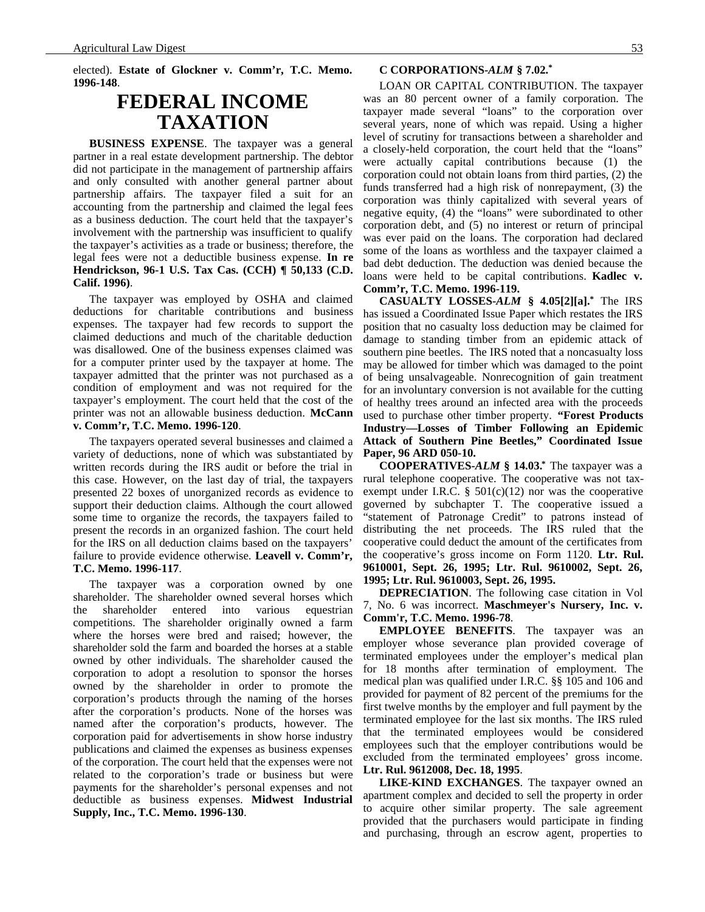elected). **Estate of Glockner v. Comm'r, T.C. Memo. 1996-148**.

# **FEDERAL INCOME TAXATION**

**BUSINESS EXPENSE**. The taxpayer was a general partner in a real estate development partnership. The debtor did not participate in the management of partnership affairs and only consulted with another general partner about partnership affairs. The taxpayer filed a suit for an accounting from the partnership and claimed the legal fees as a business deduction. The court held that the taxpayer's involvement with the partnership was insufficient to qualify the taxpayer's activities as a trade or business; therefore, the legal fees were not a deductible business expense. **In re Hendrickson, 96-1 U.S. Tax Cas. (CCH) ¶ 50,133 (C.D. Calif. 1996)**.

The taxpayer was employed by OSHA and claimed deductions for charitable contributions and business expenses. The taxpayer had few records to support the claimed deductions and much of the charitable deduction was disallowed. One of the business expenses claimed was for a computer printer used by the taxpayer at home. The taxpayer admitted that the printer was not purchased as a condition of employment and was not required for the taxpayer's employment. The court held that the cost of the printer was not an allowable business deduction. **McCann v. Comm'r, T.C. Memo. 1996-120**.

The taxpayers operated several businesses and claimed a variety of deductions, none of which was substantiated by written records during the IRS audit or before the trial in this case. However, on the last day of trial, the taxpayers presented 22 boxes of unorganized records as evidence to support their deduction claims. Although the court allowed some time to organize the records, the taxpayers failed to present the records in an organized fashion. The court held for the IRS on all deduction claims based on the taxpayers' failure to provide evidence otherwise. **Leavell v. Comm'r, T.C. Memo. 1996-117**.

The taxpayer was a corporation owned by one shareholder. The shareholder owned several horses which the shareholder entered into various equestrian competitions. The shareholder originally owned a farm where the horses were bred and raised; however, the shareholder sold the farm and boarded the horses at a stable owned by other individuals. The shareholder caused the corporation to adopt a resolution to sponsor the horses owned by the shareholder in order to promote the corporation's products through the naming of the horses after the corporation's products. None of the horses was named after the corporation's products, however. The corporation paid for advertisements in show horse industry publications and claimed the expenses as business expenses of the corporation. The court held that the expenses were not related to the corporation's trade or business but were payments for the shareholder's personal expenses and not deductible as business expenses. **Midwest Industrial Supply, Inc., T.C. Memo. 1996-130**.

LOAN OR CAPITAL CONTRIBUTION. The taxpayer was an 80 percent owner of a family corporation. The taxpayer made several "loans" to the corporation over several years, none of which was repaid. Using a higher level of scrutiny for transactions between a shareholder and a closely-held corporation, the court held that the "loans" were actually capital contributions because (1) the corporation could not obtain loans from third parties, (2) the funds transferred had a high risk of nonrepayment, (3) the corporation was thinly capitalized with several years of negative equity, (4) the "loans" were subordinated to other corporation debt, and (5) no interest or return of principal was ever paid on the loans. The corporation had declared some of the loans as worthless and the taxpayer claimed a bad debt deduction. The deduction was denied because the loans were held to be capital contributions. **Kadlec v. Comm'r, T.C. Memo. 1996-119.**

**CASUALTY LOSSES-***ALM* **§ 4.05[2][a].\*** The IRS has issued a Coordinated Issue Paper which restates the IRS position that no casualty loss deduction may be claimed for damage to standing timber from an epidemic attack of southern pine beetles. The IRS noted that a noncasualty loss may be allowed for timber which was damaged to the point of being unsalvageable. Nonrecognition of gain treatment for an involuntary conversion is not available for the cutting of healthy trees around an infected area with the proceeds used to purchase other timber property. **"Forest Products Industry—Losses of Timber Following an Epidemic Attack of Southern Pine Beetles," Coordinated Issue Paper, 96 ARD 050-10.**

**COOPERATIVES-***ALM* **§ 14.03.\*** The taxpayer was a rural telephone cooperative. The cooperative was not taxexempt under I.R.C.  $\S$  501(c)(12) nor was the cooperative governed by subchapter T. The cooperative issued a "statement of Patronage Credit" to patrons instead of distributing the net proceeds. The IRS ruled that the cooperative could deduct the amount of the certificates from the cooperative's gross income on Form 1120. **Ltr. Rul. 9610001, Sept. 26, 1995; Ltr. Rul. 9610002, Sept. 26, 1995; Ltr. Rul. 9610003, Sept. 26, 1995.**

**DEPRECIATION**. The following case citation in Vol 7, No. 6 was incorrect. **Maschmeyer's Nursery, Inc. v. Comm'r, T.C. Memo. 1996-78**.

**EMPLOYEE BENEFITS**. The taxpayer was an employer whose severance plan provided coverage of terminated employees under the employer's medical plan for 18 months after termination of employment. The medical plan was qualified under I.R.C. §§ 105 and 106 and provided for payment of 82 percent of the premiums for the first twelve months by the employer and full payment by the terminated employee for the last six months. The IRS ruled that the terminated employees would be considered employees such that the employer contributions would be excluded from the terminated employees' gross income. **Ltr. Rul. 9612008, Dec. 18, 1995**.

**LIKE-KIND EXCHANGES**. The taxpayer owned an apartment complex and decided to sell the property in order to acquire other similar property. The sale agreement provided that the purchasers would participate in finding and purchasing, through an escrow agent, properties to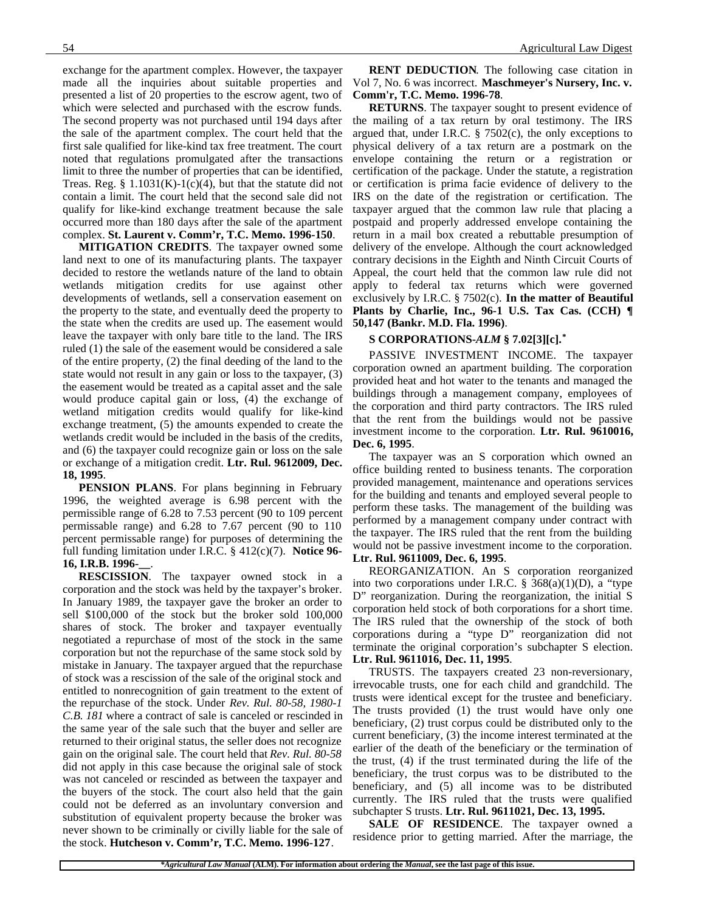exchange for the apartment complex. However, the taxpayer made all the inquiries about suitable properties and presented a list of 20 properties to the escrow agent, two of which were selected and purchased with the escrow funds. The second property was not purchased until 194 days after the sale of the apartment complex. The court held that the first sale qualified for like-kind tax free treatment. The court noted that regulations promulgated after the transactions limit to three the number of properties that can be identified, Treas. Reg. §  $1.1031(K)-1(c)(4)$ , but that the statute did not contain a limit. The court held that the second sale did not qualify for like-kind exchange treatment because the sale occurred more than 180 days after the sale of the apartment complex. **St. Laurent v. Comm'r, T.C. Memo. 1996-150**.

**MITIGATION CREDITS**. The taxpayer owned some land next to one of its manufacturing plants. The taxpayer decided to restore the wetlands nature of the land to obtain wetlands mitigation credits for use against other developments of wetlands, sell a conservation easement on the property to the state, and eventually deed the property to the state when the credits are used up. The easement would leave the taxpayer with only bare title to the land. The IRS ruled (1) the sale of the easement would be considered a sale of the entire property, (2) the final deeding of the land to the state would not result in any gain or loss to the taxpayer, (3) the easement would be treated as a capital asset and the sale would produce capital gain or loss, (4) the exchange of wetland mitigation credits would qualify for like-kind exchange treatment, (5) the amounts expended to create the wetlands credit would be included in the basis of the credits, and (6) the taxpayer could recognize gain or loss on the sale or exchange of a mitigation credit. **Ltr. Rul. 9612009, Dec. 18, 1995**.

**PENSION PLANS**. For plans beginning in February 1996, the weighted average is 6.98 percent with the permissible range of 6.28 to 7.53 percent (90 to 109 percent permissable range) and 6.28 to 7.67 percent (90 to 110 percent permissable range) for purposes of determining the full funding limitation under I.R.C. § 412(c)(7). **Notice 96- 16, I.R.B. 1996-\_\_**.

**RESCISSION**. The taxpayer owned stock in a corporation and the stock was held by the taxpayer's broker. In January 1989, the taxpayer gave the broker an order to sell \$100,000 of the stock but the broker sold 100,000 shares of stock. The broker and taxpayer eventually negotiated a repurchase of most of the stock in the same corporation but not the repurchase of the same stock sold by mistake in January. The taxpayer argued that the repurchase of stock was a rescission of the sale of the original stock and entitled to nonrecognition of gain treatment to the extent of the repurchase of the stock. Under *Rev. Rul. 80-58, 1980-1 C.B. 181* where a contract of sale is canceled or rescinded in the same year of the sale such that the buyer and seller are returned to their original status, the seller does not recognize gain on the original sale. The court held that *Rev. Rul. 80-58* did not apply in this case because the original sale of stock was not canceled or rescinded as between the taxpayer and the buyers of the stock. The court also held that the gain could not be deferred as an involuntary conversion and substitution of equivalent property because the broker was never shown to be criminally or civilly liable for the sale of the stock. **Hutcheson v. Comm'r, T.C. Memo. 1996-127**.

**RENT DEDUCTION**. The following case citation in Vol 7, No. 6 was incorrect. **Maschmeyer's Nursery, Inc. v. Comm'r, T.C. Memo. 1996-78**.

**RETURNS**. The taxpayer sought to present evidence of the mailing of a tax return by oral testimony. The IRS argued that, under I.R.C.  $\S$  7502(c), the only exceptions to physical delivery of a tax return are a postmark on the envelope containing the return or a registration or certification of the package. Under the statute, a registration or certification is prima facie evidence of delivery to the IRS on the date of the registration or certification. The taxpayer argued that the common law rule that placing a postpaid and properly addressed envelope containing the return in a mail box created a rebuttable presumption of delivery of the envelope. Although the court acknowledged contrary decisions in the Eighth and Ninth Circuit Courts of Appeal, the court held that the common law rule did not apply to federal tax returns which were governed exclusively by I.R.C. § 7502(c). **In the matter of Beautiful Plants by Charlie, Inc., 96-1 U.S. Tax Cas. (CCH) ¶ 50,147 (Bankr. M.D. Fla. 1996)**.

#### **S CORPORATIONS-***ALM* **§ 7.02[3][c].\***

PASSIVE INVESTMENT INCOME. The taxpayer corporation owned an apartment building. The corporation provided heat and hot water to the tenants and managed the buildings through a management company, employees of the corporation and third party contractors. The IRS ruled that the rent from the buildings would not be passive investment income to the corporation. **Ltr. Rul. 9610016, Dec. 6, 1995**.

The taxpayer was an S corporation which owned an office building rented to business tenants. The corporation provided management, maintenance and operations services for the building and tenants and employed several people to perform these tasks. The management of the building was performed by a management company under contract with the taxpayer. The IRS ruled that the rent from the building would not be passive investment income to the corporation.

#### **Ltr. Rul. 9611009, Dec. 6, 1995**.

REORGANIZATION. An S corporation reorganized into two corporations under I.R.C. § 368(a)(1)(D), a "type D" reorganization. During the reorganization, the initial S corporation held stock of both corporations for a short time. The IRS ruled that the ownership of the stock of both corporations during a "type D" reorganization did not terminate the original corporation's subchapter S election. **Ltr. Rul. 9611016, Dec. 11, 1995**.

TRUSTS. The taxpayers created 23 non-reversionary, irrevocable trusts, one for each child and grandchild. The trusts were identical except for the trustee and beneficiary. The trusts provided (1) the trust would have only one beneficiary, (2) trust corpus could be distributed only to the current beneficiary, (3) the income interest terminated at the earlier of the death of the beneficiary or the termination of the trust, (4) if the trust terminated during the life of the beneficiary, the trust corpus was to be distributed to the beneficiary, and (5) all income was to be distributed currently. The IRS ruled that the trusts were qualified subchapter S trusts. **Ltr. Rul. 9611021, Dec. 13, 1995.**

**SALE OF RESIDENCE**. The taxpayer owned a residence prior to getting married. After the marriage, the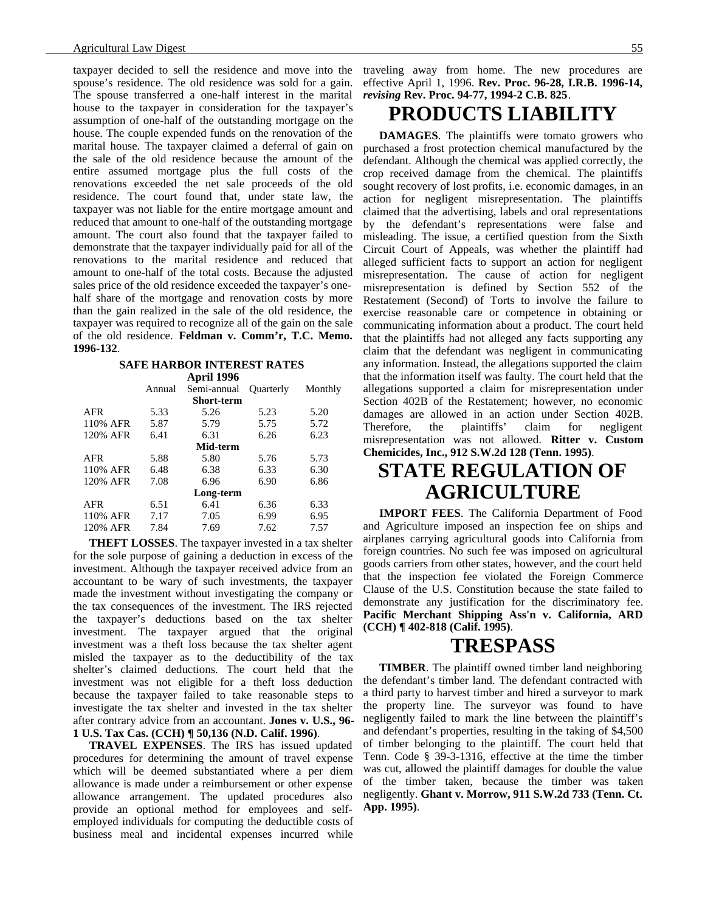taxpayer decided to sell the residence and move into the spouse's residence. The old residence was sold for a gain. The spouse transferred a one-half interest in the marital house to the taxpayer in consideration for the taxpayer's assumption of one-half of the outstanding mortgage on the house. The couple expended funds on the renovation of the marital house. The taxpayer claimed a deferral of gain on the sale of the old residence because the amount of the entire assumed mortgage plus the full costs of the renovations exceeded the net sale proceeds of the old residence. The court found that, under state law, the taxpayer was not liable for the entire mortgage amount and reduced that amount to one-half of the outstanding mortgage amount. The court also found that the taxpayer failed to demonstrate that the taxpayer individually paid for all of the renovations to the marital residence and reduced that amount to one-half of the total costs. Because the adjusted sales price of the old residence exceeded the taxpayer's onehalf share of the mortgage and renovation costs by more than the gain realized in the sale of the old residence, the taxpayer was required to recognize all of the gain on the sale of the old residence. **Feldman v. Comm'r, T.C. Memo. 1996-132**.

#### **SAFE HARBOR INTEREST RATES**

|            |        | April 1996        |                  |         |
|------------|--------|-------------------|------------------|---------|
|            | Annual | Semi-annual       | <b>Ouarterly</b> | Monthly |
|            |        | <b>Short-term</b> |                  |         |
| <b>AFR</b> | 5.33   | 5.26              | 5.23             | 5.20    |
| 110% AFR   | 5.87   | 5.79              | 5.75             | 5.72    |
| 120% AFR   | 6.41   | 6.31              | 6.26             | 6.23    |
| Mid-term   |        |                   |                  |         |
| <b>AFR</b> | 5.88   | 5.80              | 5.76             | 5.73    |
| 110% AFR   | 6.48   | 6.38              | 6.33             | 6.30    |
| 120% AFR   | 7.08   | 6.96              | 6.90             | 6.86    |
|            |        | Long-term         |                  |         |
| <b>AFR</b> | 6.51   | 6.41              | 6.36             | 6.33    |
| 110% AFR   | 7.17   | 7.05              | 6.99             | 6.95    |
| 120% AFR   | 7.84   | 7.69              | 7.62             | 7.57    |
|            |        |                   |                  |         |

**THEFT LOSSES**. The taxpayer invested in a tax shelter for the sole purpose of gaining a deduction in excess of the investment. Although the taxpayer received advice from an accountant to be wary of such investments, the taxpayer made the investment without investigating the company or the tax consequences of the investment. The IRS rejected the taxpayer's deductions based on the tax shelter investment. The taxpayer argued that the original investment was a theft loss because the tax shelter agent misled the taxpayer as to the deductibility of the tax shelter's claimed deductions. The court held that the investment was not eligible for a theft loss deduction because the taxpayer failed to take reasonable steps to investigate the tax shelter and invested in the tax shelter after contrary advice from an accountant. **Jones v. U.S., 96- 1 U.S. Tax Cas. (CCH) ¶ 50,136 (N.D. Calif. 1996)**.

**TRAVEL EXPENSES**. The IRS has issued updated procedures for determining the amount of travel expense which will be deemed substantiated where a per diem allowance is made under a reimbursement or other expense allowance arrangement. The updated procedures also provide an optional method for employees and selfemployed individuals for computing the deductible costs of business meal and incidental expenses incurred while

traveling away from home. The new procedures are effective April 1, 1996. **Rev. Proc. 96-28, I.R.B. 1996-14,** *revising* **Rev. Proc. 94-77, 1994-2 C.B. 825**.

### **PRODUCTS LIABILITY**

**DAMAGES**. The plaintiffs were tomato growers who purchased a frost protection chemical manufactured by the defendant. Although the chemical was applied correctly, the crop received damage from the chemical. The plaintiffs sought recovery of lost profits, i.e. economic damages, in an action for negligent misrepresentation. The plaintiffs claimed that the advertising, labels and oral representations by the defendant's representations were false and misleading. The issue, a certified question from the Sixth Circuit Court of Appeals, was whether the plaintiff had alleged sufficient facts to support an action for negligent misrepresentation. The cause of action for negligent misrepresentation is defined by Section 552 of the Restatement (Second) of Torts to involve the failure to exercise reasonable care or competence in obtaining or communicating information about a product. The court held that the plaintiffs had not alleged any facts supporting any claim that the defendant was negligent in communicating any information. Instead, the allegations supported the claim that the information itself was faulty. The court held that the allegations supported a claim for misrepresentation under Section 402B of the Restatement; however, no economic damages are allowed in an action under Section 402B. Therefore, the plaintiffs' claim for negligent misrepresentation was not allowed. **Ritter v. Custom Chemicides, Inc., 912 S.W.2d 128 (Tenn. 1995)**.

## **STATE REGULATION OF AGRICULTURE**

**IMPORT FEES**. The California Department of Food and Agriculture imposed an inspection fee on ships and airplanes carrying agricultural goods into California from foreign countries. No such fee was imposed on agricultural goods carriers from other states, however, and the court held that the inspection fee violated the Foreign Commerce Clause of the U.S. Constitution because the state failed to demonstrate any justification for the discriminatory fee. **Pacific Merchant Shipping Ass'n v. California, ARD (CCH) ¶ 402-818 (Calif. 1995)**.

### **TRESPASS**

**TIMBER**. The plaintiff owned timber land neighboring the defendant's timber land. The defendant contracted with a third party to harvest timber and hired a surveyor to mark the property line. The surveyor was found to have negligently failed to mark the line between the plaintiff's and defendant's properties, resulting in the taking of \$4,500 of timber belonging to the plaintiff. The court held that Tenn. Code § 39-3-1316, effective at the time the timber was cut, allowed the plaintiff damages for double the value of the timber taken, because the timber was taken negligently. **Ghant v. Morrow, 911 S.W.2d 733 (Tenn. Ct. App. 1995)**.